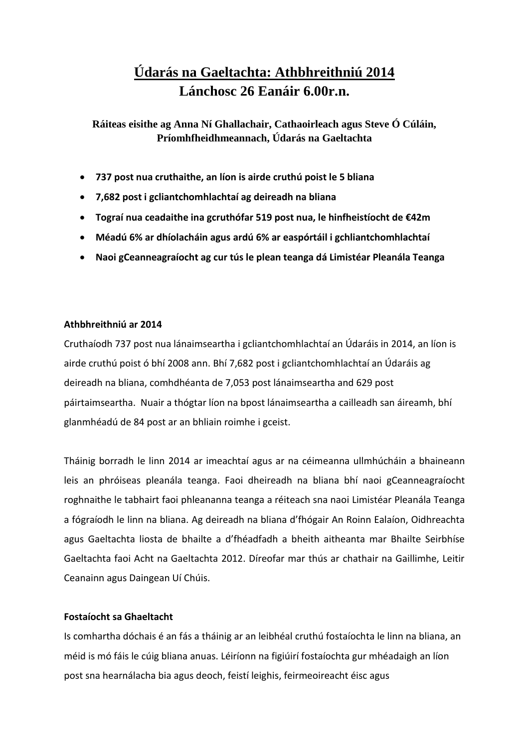# **Údarás na Gaeltachta: Athbhreithniú 2014 Lánchosc 26 Eanáir 6.00r.n.**

**Ráiteas eisithe ag Anna Ní Ghallachair, Cathaoirleach agus Steve Ó Cúláin, Príomhfheidhmeannach, Údarás na Gaeltachta**

- **737 post nua cruthaithe, an líon is airde cruthú poist le 5 bliana**
- **7,682 post i gcliantchomhlachtaí ag deireadh na bliana**
- **Tograí nua ceadaithe ina gcruthófar 519 post nua, le hinfheistíocht de €42m**
- **Méadú 6% ar dhíolacháin agus ardú 6% ar easpórtáil i gchliantchomhlachtaí**
- **Naoi gCeanneagraíocht ag cur tús le plean teanga dá Limistéar Pleanála Teanga**

# **Athbhreithniú ar 2014**

Cruthaíodh 737 post nua lánaimseartha i gcliantchomhlachtaí an Údaráis in 2014, an líon is airde cruthú poist ó bhí 2008 ann. Bhí 7,682 post i gcliantchomhlachtaí an Údaráis ag deireadh na bliana, comhdhéanta de 7,053 post lánaimseartha and 629 post páirtaimseartha. Nuair a thógtar líon na bpost lánaimseartha a cailleadh san áireamh, bhí glanmhéadú de 84 post ar an bhliain roimhe i gceist.

Tháinig borradh le linn 2014 ar imeachtaí agus ar na céimeanna ullmhúcháin a bhaineann leis an phróiseas pleanála teanga. Faoi dheireadh na bliana bhí naoi gCeanneagraíocht roghnaithe le tabhairt faoi phleananna teanga a réiteach sna naoi Limistéar Pleanála Teanga a fógraíodh le linn na bliana. Ag deireadh na bliana d'fhógair An Roinn Ealaíon, Oidhreachta agus Gaeltachta liosta de bhailte a d'fhéadfadh a bheith aitheanta mar Bhailte Seirbhíse Gaeltachta faoi Acht na Gaeltachta 2012. Díreofar mar thús ar chathair na Gaillimhe, Leitir Ceanainn agus Daingean Uí Chúis.

## **Fostaíocht sa Ghaeltacht**

Is comhartha dóchais é an fás a tháinig ar an leibhéal cruthú fostaíochta le linn na bliana, an méid is mó fáis le cúig bliana anuas. Léiríonn na figiúirí fostaíochta gur mhéadaigh an líon post sna hearnálacha bia agus deoch, feistí leighis, feirmeoireacht éisc agus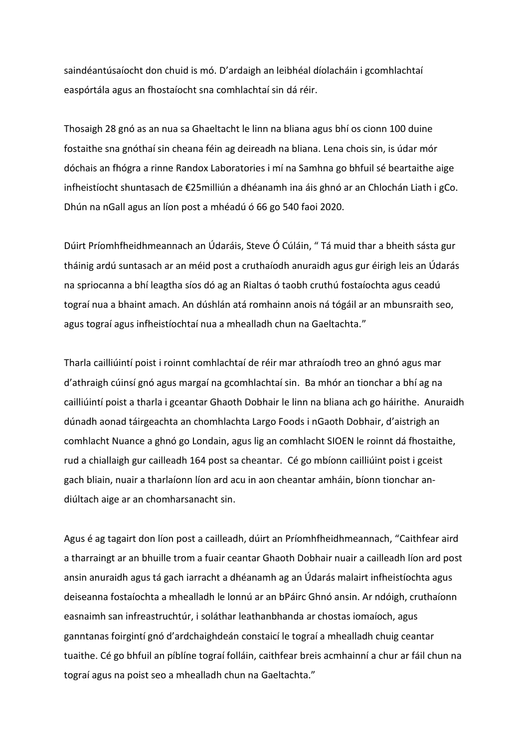saindéantúsaíocht don chuid is mó. D'ardaigh an leibhéal díolacháin i gcomhlachtaí easpórtála agus an fhostaíocht sna comhlachtaí sin dá réir.

Thosaigh 28 gnó as an nua sa Ghaeltacht le linn na bliana agus bhí os cionn 100 duine fostaithe sna gnóthaí sin cheana féin ag deireadh na bliana. Lena chois sin, is údar mór dóchais an fhógra a rinne Randox Laboratories i mí na Samhna go bhfuil sé beartaithe aige infheistíocht shuntasach de €25milliún a dhéanamh ina áis ghnó ar an Chlochán Liath i gCo. Dhún na nGall agus an líon post a mhéadú ó 66 go 540 faoi 2020.

Dúirt Príomhfheidhmeannach an Údaráis, Steve Ó Cúláin, " Tá muid thar a bheith sásta gur tháinig ardú suntasach ar an méid post a cruthaíodh anuraidh agus gur éirigh leis an Údarás na spriocanna a bhí leagtha síos dó ag an Rialtas ó taobh cruthú fostaíochta agus ceadú tograí nua a bhaint amach. An dúshlán atá romhainn anois ná tógáil ar an mbunsraith seo, agus tograí agus infheistíochtaí nua a mhealladh chun na Gaeltachta."

Tharla cailliúintí poist i roinnt comhlachtaí de réir mar athraíodh treo an ghnó agus mar d'athraigh cúinsí gnó agus margaí na gcomhlachtaí sin. Ba mhór an tionchar a bhí ag na cailliúintí poist a tharla i gceantar Ghaoth Dobhair le linn na bliana ach go háirithe. Anuraidh dúnadh aonad táirgeachta an chomhlachta Largo Foods i nGaoth Dobhair, d'aistrigh an comhlacht Nuance a ghnó go Londain, agus lig an comhlacht SIOEN le roinnt dá fhostaithe, rud a chiallaigh gur cailleadh 164 post sa cheantar. Cé go mbíonn cailliúint poist i gceist gach bliain, nuair a tharlaíonn líon ard acu in aon cheantar amháin, bíonn tionchar andiúltach aige ar an chomharsanacht sin.

Agus é ag tagairt don líon post a cailleadh, dúirt an Príomhfheidhmeannach, "Caithfear aird a tharraingt ar an bhuille trom a fuair ceantar Ghaoth Dobhair nuair a cailleadh líon ard post ansin anuraidh agus tá gach iarracht a dhéanamh ag an Údarás malairt infheistíochta agus deiseanna fostaíochta a mhealladh le lonnú ar an bPáirc Ghnó ansin. Ar ndóigh, cruthaíonn easnaimh san infreastruchtúr, i soláthar leathanbhanda ar chostas iomaíoch, agus ganntanas foirgintí gnó d'ardchaighdeán constaicí le tograí a mhealladh chuig ceantar tuaithe. Cé go bhfuil an píblíne tograí folláin, caithfear breis acmhainní a chur ar fáil chun na tograí agus na poist seo a mhealladh chun na Gaeltachta."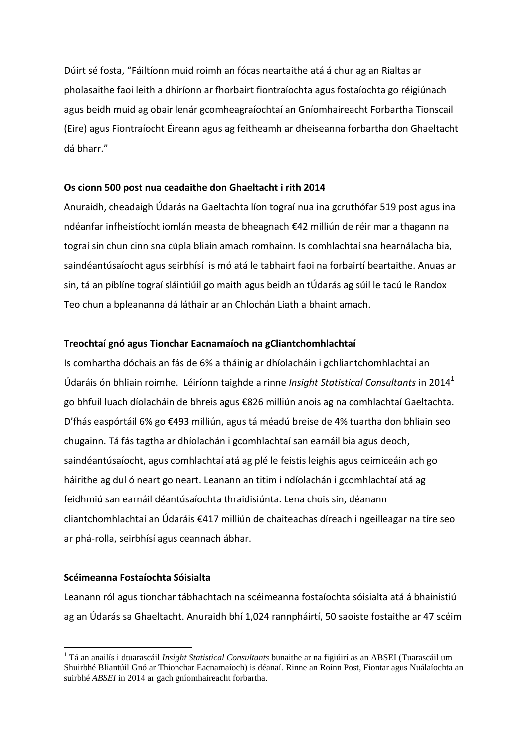Dúirt sé fosta, "Fáiltíonn muid roimh an fócas neartaithe atá á chur ag an Rialtas ar pholasaithe faoi leith a dhíríonn ar fhorbairt fiontraíochta agus fostaíochta go réigiúnach agus beidh muid ag obair lenár gcomheagraíochtaí an Gníomhaireacht Forbartha Tionscail (Eire) agus Fiontraíocht Éireann agus ag feitheamh ar dheiseanna forbartha don Ghaeltacht dá bharr."

## **Os cionn 500 post nua ceadaithe don Ghaeltacht i rith 2014**

Anuraidh, cheadaigh Údarás na Gaeltachta líon tograí nua ina gcruthófar 519 post agus ina ndéanfar infheistíocht iomlán measta de bheagnach €42 milliún de réir mar a thagann na tograí sin chun cinn sna cúpla bliain amach romhainn. Is comhlachtaí sna hearnálacha bia, saindéantúsaíocht agus seirbhísí is mó atá le tabhairt faoi na forbairtí beartaithe. Anuas ar sin, tá an píblíne tograí sláintiúil go maith agus beidh an tÚdarás ag súil le tacú le Randox Teo chun a bpleananna dá láthair ar an Chlochán Liath a bhaint amach.

## **Treochtaí gnó agus Tionchar Eacnamaíoch na gCliantchomhlachtaí**

Is comhartha dóchais an fás de 6% a tháinig ar dhíolacháin i gchliantchomhlachtaí an Údaráis ón bhliain roimhe. Léiríonn taighde a rinne *Insight Statistical Consultants* in 2014 1 go bhfuil luach díolacháin de bhreis agus €826 milliún anois ag na comhlachtaí Gaeltachta. D'fhás easpórtáil 6% go €493 milliún, agus tá méadú breise de 4% tuartha don bhliain seo chugainn. Tá fás tagtha ar dhíolachán i gcomhlachtaí san earnáil bia agus deoch, saindéantúsaíocht, agus comhlachtaí atá ag plé le feistis leighis agus ceimiceáin ach go háirithe ag dul ó neart go neart. Leanann an titim i ndíolachán i gcomhlachtaí atá ag feidhmiú san earnáil déantúsaíochta thraidisiúnta. Lena chois sin, déanann cliantchomhlachtaí an Údaráis €417 milliún de chaiteachas díreach i ngeilleagar na tíre seo ar phá-rolla, seirbhísí agus ceannach ábhar.

## **Scéimeanna Fostaíochta Sóisialta**

1

Leanann ról agus tionchar tábhachtach na scéimeanna fostaíochta sóisialta atá á bhainistiú ag an Údarás sa Ghaeltacht. Anuraidh bhí 1,024 rannpháirtí, 50 saoiste fostaithe ar 47 scéim

<sup>1</sup> Tá an anailís i dtuarascáil *Insight Statistical Consultants* bunaithe ar na figiúirí as an ABSEI (Tuarascáil um Shuirbhé Bliantúil Gnó ar Thionchar Eacnamaíoch) is déanaí. Rinne an Roinn Post, Fiontar agus Nuálaíochta an suirbhé *ABSEI* in 2014 ar gach gníomhaireacht forbartha.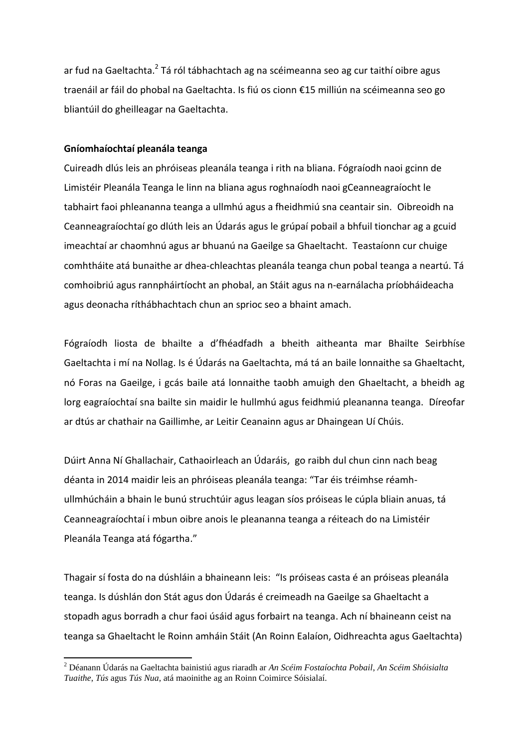ar fud na Gaeltachta.<sup>2</sup> Tá ról tábhachtach ag na scéimeanna seo ag cur taithí oibre agus traenáil ar fáil do phobal na Gaeltachta. Is fiú os cionn €15 milliún na scéimeanna seo go bliantúil do gheilleagar na Gaeltachta.

## **Gníomhaíochtaí pleanála teanga**

**.** 

Cuireadh dlús leis an phróiseas pleanála teanga i rith na bliana. Fógraíodh naoi gcinn de Limistéir Pleanála Teanga le linn na bliana agus roghnaíodh naoi gCeanneagraíocht le tabhairt faoi phleananna teanga a ullmhú agus a fheidhmiú sna ceantair sin. Oibreoidh na Ceanneagraíochtaí go dlúth leis an Údarás agus le grúpaí pobail a bhfuil tionchar ag a gcuid imeachtaí ar chaomhnú agus ar bhuanú na Gaeilge sa Ghaeltacht. Teastaíonn cur chuige comhtháite atá bunaithe ar dhea-chleachtas pleanála teanga chun pobal teanga a neartú. Tá comhoibriú agus rannpháirtíocht an phobal, an Stáit agus na n-earnálacha príobháideacha agus deonacha ríthábhachtach chun an sprioc seo a bhaint amach.

Fógraíodh liosta de bhailte a d'fhéadfadh a bheith aitheanta mar Bhailte Seirbhíse Gaeltachta i mí na Nollag. Is é Údarás na Gaeltachta, má tá an baile lonnaithe sa Ghaeltacht, nó Foras na Gaeilge, i gcás baile atá lonnaithe taobh amuigh den Ghaeltacht, a bheidh ag lorg eagraíochtaí sna bailte sin maidir le hullmhú agus feidhmiú pleananna teanga. Díreofar ar dtús ar chathair na Gaillimhe, ar Leitir Ceanainn agus ar Dhaingean Uí Chúis.

Dúirt Anna Ní Ghallachair, Cathaoirleach an Údaráis, go raibh dul chun cinn nach beag déanta in 2014 maidir leis an phróiseas pleanála teanga: "Tar éis tréimhse réamhullmhúcháin a bhain le bunú struchtúir agus leagan síos próiseas le cúpla bliain anuas, tá Ceanneagraíochtaí i mbun oibre anois le pleananna teanga a réiteach do na Limistéir Pleanála Teanga atá fógartha."

Thagair sí fosta do na dúshláin a bhaineann leis: "Is próiseas casta é an próiseas pleanála teanga. Is dúshlán don Stát agus don Údarás é creimeadh na Gaeilge sa Ghaeltacht a stopadh agus borradh a chur faoi úsáid agus forbairt na teanga. Ach ní bhaineann ceist na teanga sa Ghaeltacht le Roinn amháin Stáit (An Roinn Ealaíon, Oidhreachta agus Gaeltachta)

<sup>2</sup> Déanann Údarás na Gaeltachta bainistiú agus riaradh ar *An Scéim Fostaíochta Pobail*, *An Scéim Shóisialta Tuaithe*, *Tús* agus *Tús Nua*, atá maoinithe ag an Roinn Coimirce Sóisialaí.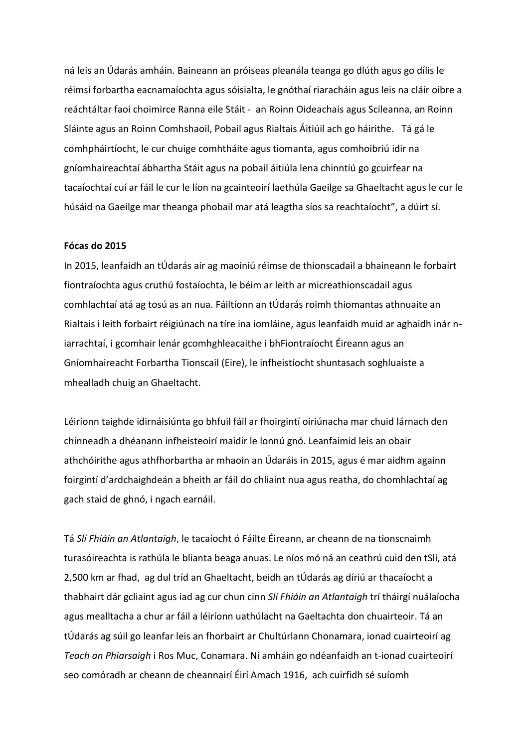ná leis an Údarás amháin. Baineann an próiseas pleanála teanga go dlúth agus go dílis le réimsí forbartha eacnamaíochta agus sóisialta, le gnóthaí riaracháin agus leis na cláir oibre a reáchtáltar faoi choimirce Ranna eile Stáit - an Roinn Oideachais agus Scileanna, an Roinn Sláinte agus an Roinn Comhshaoil, Pobail agus Rialtais Áitiúil ach go háirithe. Tá gá le comhpháirtíocht, le cur chuige comhtháite agus tiomanta, agus comhoibriú idir na gníomhaireachtaí ábhartha Stáit agus na pobail áitiúla lena chinntiú go gcuirfear na tacaíochtaí cuí ar fáil le cur le líon na gcainteoirí laethúla Gaeilge sa Ghaeltacht agus le cur le húsáid na Gaeilge mar theanga phobail mar atá leagtha síos sa reachtaíocht", a dúirt sí.

## **Fócas do 2015**

In 2015, leanfaidh an tÚdarás air ag maoiniú réimse de thionscadail a bhaineann le forbairt fiontraíochta agus cruthú fostaíochta, le béim ar leith ar micreathionscadail agus comhlachtaí atá ag tosú as an nua. Fáiltíonn an tÚdarás roimh thiomantas athnuaite an Rialtais i leith forbairt réigiúnach na tíre ina iomláine, agus leanfaidh muid ar aghaidh inár niarrachtaí, i gcomhair lenár gcomhghleacaithe i bhFiontraíocht Éireann agus an Gníomhaireacht Forbartha Tionscail (Eire), le infheistíocht shuntasach soghluaiste a mhealladh chuig an Ghaeltacht.

Léiríonn taighde idirnáisiúnta go bhfuil fáil ar fhoirgintí oiriúnacha mar chuid lárnach den chinneadh a dhéanann infheisteoirí maidir le lonnú gnó. Leanfaimid leis an obair athchóirithe agus athfhorbartha ar mhaoin an Údaráis in 2015, agus é mar aidhm againn foirgintí d'ardchaighdeán a bheith ar fáil do chliaint nua agus reatha, do chomhlachtaí ag gach staid de ghnó, i ngach earnáil.

Tá *Slí Fhiáin an Atlantaigh*, le tacaíocht ó Fáilte Éireann, ar cheann de na tionscnaimh turasóireachta is rathúla le blianta beaga anuas. Le níos mó ná an ceathrú cuid den tSlí, atá 2,500 km ar fhad, ag dul tríd an Ghaeltacht, beidh an tÚdarás ag díriú ar thacaíocht a thabhairt dár gcliaint agus iad ag cur chun cinn *Slí Fhiáin an Atlantaigh* trí tháirgí nuálaíocha agus mealltacha a chur ar fáil a léiríonn uathúlacht na Gaeltachta don chuairteoir. Tá an tÚdarás ag súil go leanfar leis an fhorbairt ar Chultúrlann Chonamara, ionad cuairteoirí ag *Teach an Phiarsaigh* i Ros Muc, Conamara. Ní amháin go ndéanfaidh an t-ionad cuairteoirí seo comóradh ar cheann de cheannairí Éirí Amach 1916, ach cuirfidh sé suíomh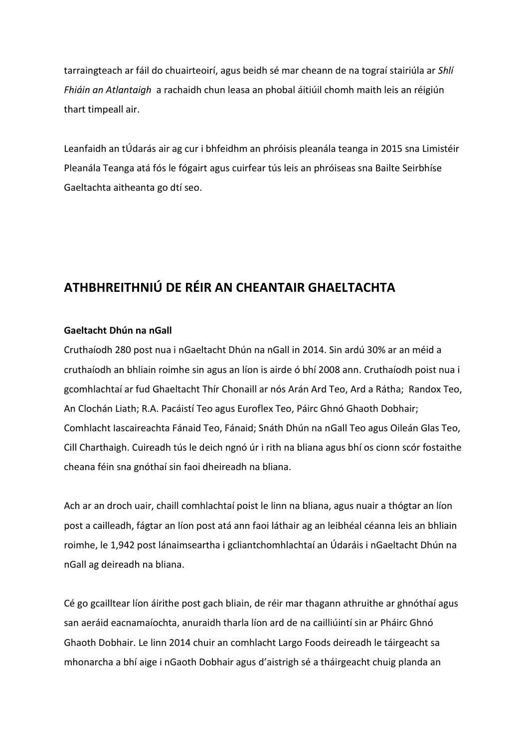tarraingteach ar fáil do chuairteoirí, agus beidh sé mar cheann de na tograí stairiúla ar *Shlí Fhiáin an Atlantaigh* a rachaidh chun leasa an phobal áitiúil chomh maith leis an réigiún thart timpeall air.

Leanfaidh an tÚdarás air ag cur i bhfeidhm an phróisis pleanála teanga in 2015 sna Limistéir Pleanála Teanga atá fós le fógairt agus cuirfear tús leis an phróiseas sna Bailte Seirbhíse Gaeltachta aitheanta go dtí seo.

# **ATHBHREITHNIÚ DE RÉIR AN CHEANTAIR GHAELTACHTA**

## **Gaeltacht Dhún na nGall**

Cruthaíodh 280 post nua i nGaeltacht Dhún na nGall in 2014. Sin ardú 30% ar an méid a cruthaíodh an bhliain roimhe sin agus an líon is airde ó bhí 2008 ann. Cruthaíodh poist nua i gcomhlachtaí ar fud Ghaeltacht Thír Chonaill ar nós Arán Ard Teo, Ard a Rátha; Randox Teo, An Clochán Liath; R.A. Pacáistí Teo agus Euroflex Teo, Páirc Ghnó Ghaoth Dobhair; Comhlacht Iascaireachta Fánaid Teo, Fánaid; Snáth Dhún na nGall Teo agus Oileán Glas Teo, Cill Charthaigh. Cuireadh tús le deich ngnó úr i rith na bliana agus bhí os cionn scór fostaithe cheana féin sna gnóthaí sin faoi dheireadh na bliana.

Ach ar an droch uair, chaill comhlachtaí poist le linn na bliana, agus nuair a thógtar an líon post a cailleadh, fágtar an líon post atá ann faoi láthair ag an leibhéal céanna leis an bhliain roimhe, le 1,942 post lánaimseartha i gcliantchomhlachtaí an Údaráis i nGaeltacht Dhún na nGall ag deireadh na bliana.

Cé go gcailltear líon áirithe post gach bliain, de réir mar thagann athruithe ar ghnóthaí agus san aeráid eacnamaíochta, anuraidh tharla líon ard de na cailliúintí sin ar Pháirc Ghnó Ghaoth Dobhair. Le linn 2014 chuir an comhlacht Largo Foods deireadh le táirgeacht sa mhonarcha a bhí aige i nGaoth Dobhair agus d'aistrigh sé a tháirgeacht chuig planda an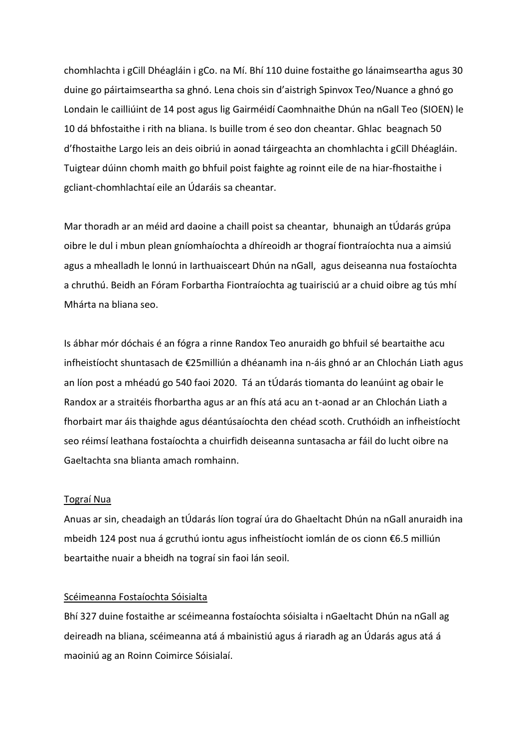chomhlachta i gCill Dhéagláin i gCo. na Mí. Bhí 110 duine fostaithe go lánaimseartha agus 30 duine go páirtaimseartha sa ghnó. Lena chois sin d'aistrigh Spinvox Teo/Nuance a ghnó go Londain le cailliúint de 14 post agus lig Gairméidí Caomhnaithe Dhún na nGall Teo (SIOEN) le 10 dá bhfostaithe i rith na bliana. Is buille trom é seo don cheantar. Ghlac beagnach 50 d'fhostaithe Largo leis an deis oibriú in aonad táirgeachta an chomhlachta i gCill Dhéagláin. Tuigtear dúinn chomh maith go bhfuil poist faighte ag roinnt eile de na hiar-fhostaithe i gcliant-chomhlachtaí eile an Údaráis sa cheantar.

Mar thoradh ar an méid ard daoine a chaill poist sa cheantar, bhunaigh an tÚdarás grúpa oibre le dul i mbun plean gníomhaíochta a dhíreoidh ar thograí fiontraíochta nua a aimsiú agus a mhealladh le lonnú in Iarthuaisceart Dhún na nGall, agus deiseanna nua fostaíochta a chruthú. Beidh an Fóram Forbartha Fiontraíochta ag tuairisciú ar a chuid oibre ag tús mhí Mhárta na bliana seo.

Is ábhar mór dóchais é an fógra a rinne Randox Teo anuraidh go bhfuil sé beartaithe acu infheistíocht shuntasach de €25milliún a dhéanamh ina n-áis ghnó ar an Chlochán Liath agus an líon post a mhéadú go 540 faoi 2020. Tá an tÚdarás tiomanta do leanúint ag obair le Randox ar a straitéis fhorbartha agus ar an fhís atá acu an t-aonad ar an Chlochán Liath a fhorbairt mar áis thaighde agus déantúsaíochta den chéad scoth. Cruthóidh an infheistíocht seo réimsí leathana fostaíochta a chuirfidh deiseanna suntasacha ar fáil do lucht oibre na Gaeltachta sna blianta amach romhainn.

#### Tograí Nua

Anuas ar sin, cheadaigh an tÚdarás líon tograí úra do Ghaeltacht Dhún na nGall anuraidh ina mbeidh 124 post nua á gcruthú iontu agus infheistíocht iomlán de os cionn €6.5 milliún beartaithe nuair a bheidh na tograí sin faoi lán seoil.

#### Scéimeanna Fostaíochta Sóisialta

Bhí 327 duine fostaithe ar scéimeanna fostaíochta sóisialta i nGaeltacht Dhún na nGall ag deireadh na bliana, scéimeanna atá á mbainistiú agus á riaradh ag an Údarás agus atá á maoiniú ag an Roinn Coimirce Sóisialaí.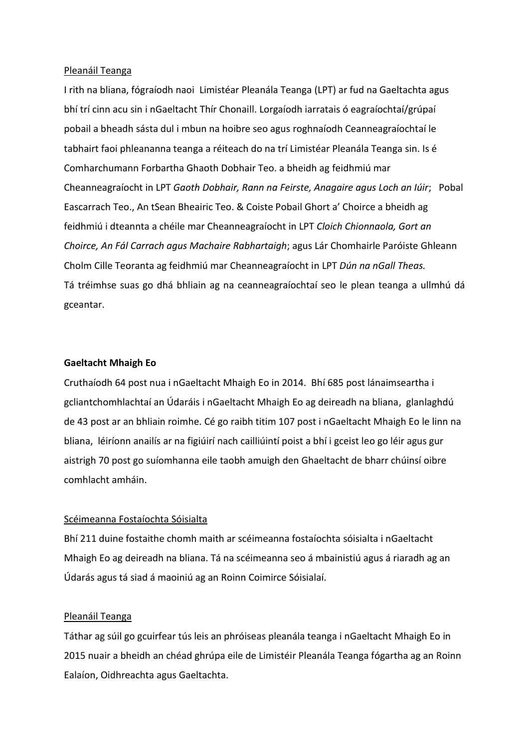## Pleanáil Teanga

I rith na bliana, fógraíodh naoi Limistéar Pleanála Teanga (LPT) ar fud na Gaeltachta agus bhí trí cinn acu sin i nGaeltacht Thír Chonaill. Lorgaíodh iarratais ó eagraíochtaí/grúpaí pobail a bheadh sásta dul i mbun na hoibre seo agus roghnaíodh Ceanneagraíochtaí le tabhairt faoi phleananna teanga a réiteach do na trí Limistéar Pleanála Teanga sin. Is é Comharchumann Forbartha Ghaoth Dobhair Teo. a bheidh ag feidhmiú mar Cheanneagraíocht in LPT *Gaoth Dobhair, Rann na Feirste, Anagaire agus Loch an Iúir*; Pobal Eascarrach Teo., An tSean Bheairic Teo. & Coiste Pobail Ghort a' Choirce a bheidh ag feidhmiú i dteannta a chéile mar Cheanneagraíocht in LPT *Cloich Chionnaola, Gort an Choirce, An Fál Carrach agus Machaire Rabhartaigh*; agus Lár Chomhairle Paróiste Ghleann Cholm Cille Teoranta ag feidhmiú mar Cheanneagraíocht in LPT *Dún na nGall Theas.*  Tá tréimhse suas go dhá bhliain ag na ceanneagraíochtaí seo le plean teanga a ullmhú dá gceantar.

## **Gaeltacht Mhaigh Eo**

Cruthaíodh 64 post nua i nGaeltacht Mhaigh Eo in 2014. Bhí 685 post lánaimseartha i gcliantchomhlachtaí an Údaráis i nGaeltacht Mhaigh Eo ag deireadh na bliana, glanlaghdú de 43 post ar an bhliain roimhe. Cé go raibh titim 107 post i nGaeltacht Mhaigh Eo le linn na bliana, léiríonn anailís ar na figiúirí nach cailliúintí poist a bhí i gceist leo go léir agus gur aistrigh 70 post go suíomhanna eile taobh amuigh den Ghaeltacht de bharr chúinsí oibre comhlacht amháin.

## Scéimeanna Fostaíochta Sóisialta

Bhí 211 duine fostaithe chomh maith ar scéimeanna fostaíochta sóisialta i nGaeltacht Mhaigh Eo ag deireadh na bliana. Tá na scéimeanna seo á mbainistiú agus á riaradh ag an Údarás agus tá siad á maoiniú ag an Roinn Coimirce Sóisialaí.

#### Pleanáil Teanga

Táthar ag súil go gcuirfear tús leis an phróiseas pleanála teanga i nGaeltacht Mhaigh Eo in 2015 nuair a bheidh an chéad ghrúpa eile de Limistéir Pleanála Teanga fógartha ag an Roinn Ealaíon, Oidhreachta agus Gaeltachta.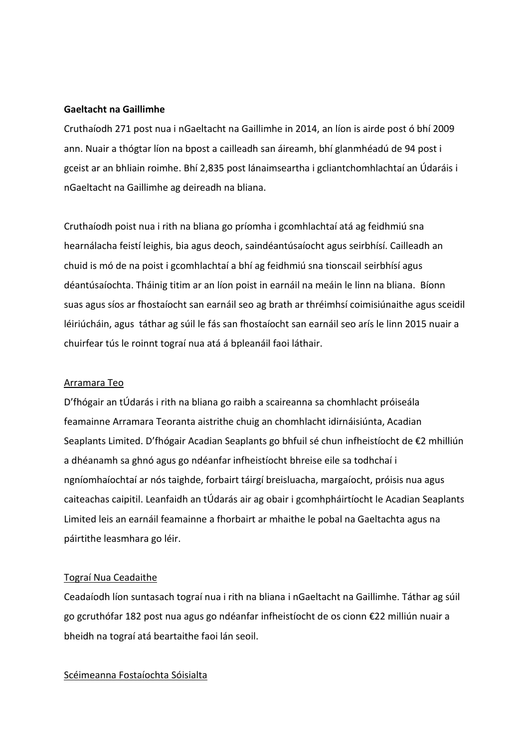## **Gaeltacht na Gaillimhe**

Cruthaíodh 271 post nua i nGaeltacht na Gaillimhe in 2014, an líon is airde post ó bhí 2009 ann. Nuair a thógtar líon na bpost a cailleadh san áireamh, bhí glanmhéadú de 94 post i gceist ar an bhliain roimhe. Bhí 2,835 post lánaimseartha i gcliantchomhlachtaí an Údaráis i nGaeltacht na Gaillimhe ag deireadh na bliana.

Cruthaíodh poist nua i rith na bliana go príomha i gcomhlachtaí atá ag feidhmiú sna hearnálacha feistí leighis, bia agus deoch, saindéantúsaíocht agus seirbhísí. Cailleadh an chuid is mó de na poist i gcomhlachtaí a bhí ag feidhmiú sna tionscail seirbhísí agus déantúsaíochta. Tháinig titim ar an líon poist in earnáil na meáin le linn na bliana. Bíonn suas agus síos ar fhostaíocht san earnáil seo ag brath ar thréimhsí coimisiúnaithe agus sceidil léiriúcháin, agus táthar ag súil le fás san fhostaíocht san earnáil seo arís le linn 2015 nuair a chuirfear tús le roinnt tograí nua atá á bpleanáil faoi láthair.

## Arramara Teo

D'fhógair an tÚdarás i rith na bliana go raibh a scaireanna sa chomhlacht próiseála feamainne Arramara Teoranta aistrithe chuig an chomhlacht idirnáisiúnta, Acadian Seaplants Limited. D'fhógair Acadian Seaplants go bhfuil sé chun infheistíocht de €2 mhilliún a dhéanamh sa ghnó agus go ndéanfar infheistíocht bhreise eile sa todhchaí i ngníomhaíochtaí ar nós taighde, forbairt táirgí breisluacha, margaíocht, próisis nua agus caiteachas caipitil. Leanfaidh an tÚdarás air ag obair i gcomhpháirtíocht le Acadian Seaplants Limited leis an earnáil feamainne a fhorbairt ar mhaithe le pobal na Gaeltachta agus na páirtithe leasmhara go léir.

## Tograí Nua Ceadaithe

Ceadaíodh líon suntasach tograí nua i rith na bliana i nGaeltacht na Gaillimhe. Táthar ag súil go gcruthófar 182 post nua agus go ndéanfar infheistíocht de os cionn €22 milliún nuair a bheidh na tograí atá beartaithe faoi lán seoil.

#### Scéimeanna Fostaíochta Sóisialta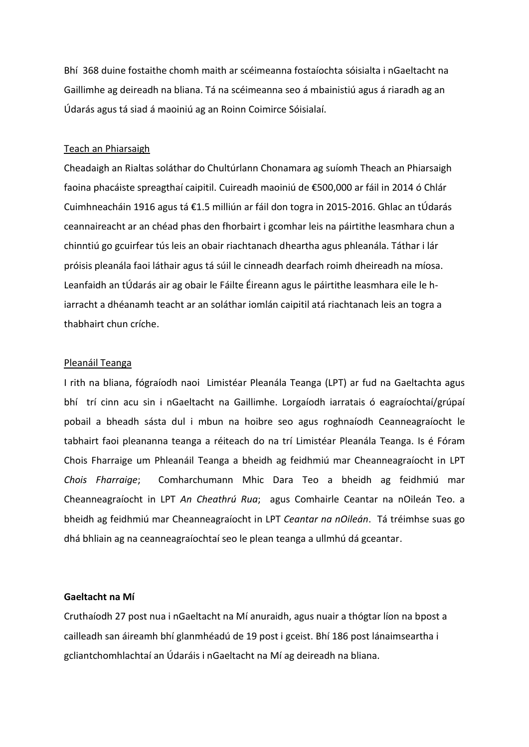Bhí 368 duine fostaithe chomh maith ar scéimeanna fostaíochta sóisialta i nGaeltacht na Gaillimhe ag deireadh na bliana. Tá na scéimeanna seo á mbainistiú agus á riaradh ag an Údarás agus tá siad á maoiniú ag an Roinn Coimirce Sóisialaí.

#### Teach an Phiarsaigh

Cheadaigh an Rialtas soláthar do Chultúrlann Chonamara ag suíomh Theach an Phiarsaigh faoina phacáiste spreagthaí caipitil. Cuireadh maoiniú de €500,000 ar fáil in 2014 ó Chlár Cuimhneacháin 1916 agus tá €1.5 milliún ar fáil don togra in 2015-2016. Ghlac an tÚdarás ceannaireacht ar an chéad phas den fhorbairt i gcomhar leis na páirtithe leasmhara chun a chinntiú go gcuirfear tús leis an obair riachtanach dheartha agus phleanála. Táthar i lár próisis pleanála faoi láthair agus tá súil le cinneadh dearfach roimh dheireadh na míosa. Leanfaidh an tÚdarás air ag obair le Fáilte Éireann agus le páirtithe leasmhara eile le hiarracht a dhéanamh teacht ar an soláthar iomlán caipitil atá riachtanach leis an togra a thabhairt chun críche.

#### Pleanáil Teanga

I rith na bliana, fógraíodh naoi Limistéar Pleanála Teanga (LPT) ar fud na Gaeltachta agus bhí trí cinn acu sin i nGaeltacht na Gaillimhe. Lorgaíodh iarratais ó eagraíochtaí/grúpaí pobail a bheadh sásta dul i mbun na hoibre seo agus roghnaíodh Ceanneagraíocht le tabhairt faoi pleananna teanga a réiteach do na trí Limistéar Pleanála Teanga. Is é Fóram Chois Fharraige um Phleanáil Teanga a bheidh ag feidhmiú mar Cheanneagraíocht in LPT *Chois Fharraige*; Comharchumann Mhic Dara Teo a bheidh ag feidhmiú mar Cheanneagraíocht in LPT *An Cheathrú Rua*; agus Comhairle Ceantar na nOileán Teo. a bheidh ag feidhmiú mar Cheanneagraíocht in LPT *Ceantar na nOileán*. Tá tréimhse suas go dhá bhliain ag na ceanneagraíochtaí seo le plean teanga a ullmhú dá gceantar.

## **Gaeltacht na Mí**

Cruthaíodh 27 post nua i nGaeltacht na Mí anuraidh, agus nuair a thógtar líon na bpost a cailleadh san áireamh bhí glanmhéadú de 19 post i gceist. Bhí 186 post lánaimseartha i gcliantchomhlachtaí an Údaráis i nGaeltacht na Mí ag deireadh na bliana.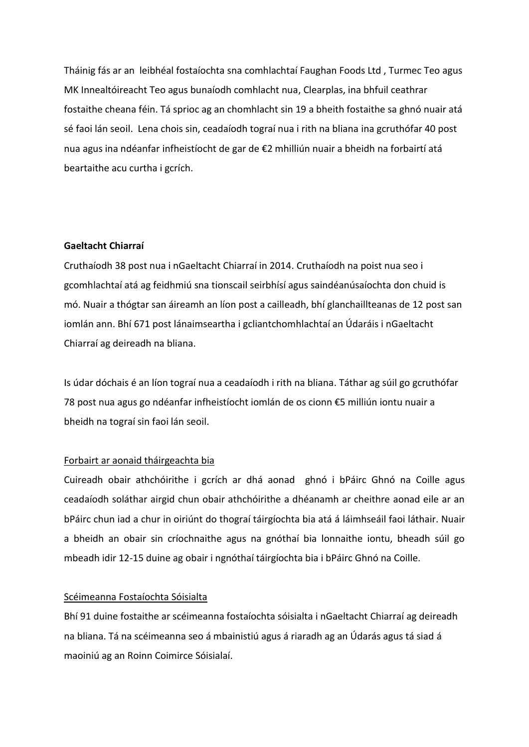Tháinig fás ar an leibhéal fostaíochta sna comhlachtaí Faughan Foods Ltd , Turmec Teo agus MK Innealtóireacht Teo agus bunaíodh comhlacht nua, Clearplas, ina bhfuil ceathrar fostaithe cheana féin. Tá sprioc ag an chomhlacht sin 19 a bheith fostaithe sa ghnó nuair atá sé faoi lán seoil. Lena chois sin, ceadaíodh tograí nua i rith na bliana ina gcruthófar 40 post nua agus ina ndéanfar infheistíocht de gar de €2 mhilliún nuair a bheidh na forbairtí atá beartaithe acu curtha i gcrích.

## **Gaeltacht Chiarraí**

Cruthaíodh 38 post nua i nGaeltacht Chiarraí in 2014. Cruthaíodh na poist nua seo i gcomhlachtaí atá ag feidhmiú sna tionscail seirbhísí agus saindéanúsaíochta don chuid is mó. Nuair a thógtar san áireamh an líon post a cailleadh, bhí glanchaillteanas de 12 post san iomlán ann. Bhí 671 post lánaimseartha i gcliantchomhlachtaí an Údaráis i nGaeltacht Chiarraí ag deireadh na bliana.

Is údar dóchais é an líon tograí nua a ceadaíodh i rith na bliana. Táthar ag súil go gcruthófar 78 post nua agus go ndéanfar infheistíocht iomlán de os cionn €5 milliún iontu nuair a bheidh na tograí sin faoi lán seoil.

#### Forbairt ar aonaid tháirgeachta bia

Cuireadh obair athchóirithe i gcrích ar dhá aonad ghnó i bPáirc Ghnó na Coille agus ceadaíodh soláthar airgid chun obair athchóirithe a dhéanamh ar cheithre aonad eile ar an bPáirc chun iad a chur in oiriúnt do thograí táirgíochta bia atá á láimhseáil faoi láthair. Nuair a bheidh an obair sin críochnaithe agus na gnóthaí bia lonnaithe iontu, bheadh súil go mbeadh idir 12-15 duine ag obair i ngnóthaí táirgíochta bia i bPáirc Ghnó na Coille.

#### Scéimeanna Fostaíochta Sóisialta

Bhí 91 duine fostaithe ar scéimeanna fostaíochta sóisialta i nGaeltacht Chiarraí ag deireadh na bliana. Tá na scéimeanna seo á mbainistiú agus á riaradh ag an Údarás agus tá siad á maoiniú ag an Roinn Coimirce Sóisialaí.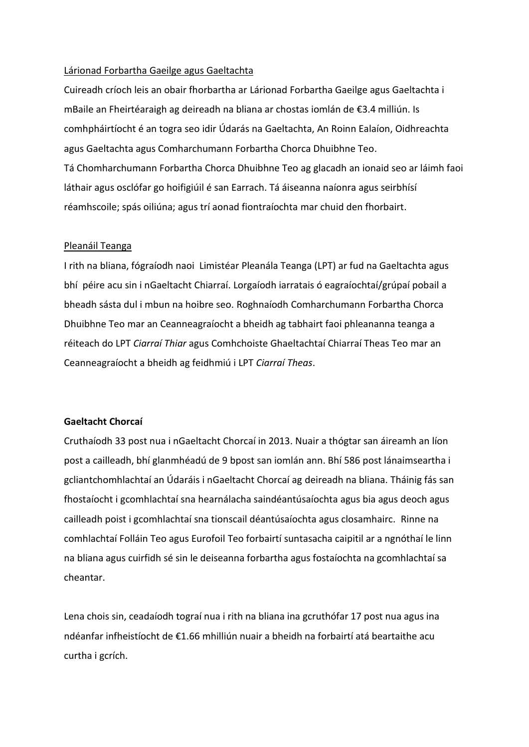## Lárionad Forbartha Gaeilge agus Gaeltachta

Cuireadh críoch leis an obair fhorbartha ar Lárionad Forbartha Gaeilge agus Gaeltachta i mBaile an Fheirtéaraigh ag deireadh na bliana ar chostas iomlán de €3.4 milliún. Is comhpháirtíocht é an togra seo idir Údarás na Gaeltachta, An Roinn Ealaíon, Oidhreachta agus Gaeltachta agus Comharchumann Forbartha Chorca Dhuibhne Teo. Tá Chomharchumann Forbartha Chorca Dhuibhne Teo ag glacadh an ionaid seo ar láimh faoi láthair agus osclófar go hoifigiúil é san Earrach. Tá áiseanna naíonra agus seirbhísí réamhscoile; spás oiliúna; agus trí aonad fiontraíochta mar chuid den fhorbairt.

## Pleanáil Teanga

I rith na bliana, fógraíodh naoi Limistéar Pleanála Teanga (LPT) ar fud na Gaeltachta agus bhí péire acu sin i nGaeltacht Chiarraí. Lorgaíodh iarratais ó eagraíochtaí/grúpaí pobail a bheadh sásta dul i mbun na hoibre seo. Roghnaíodh Comharchumann Forbartha Chorca Dhuibhne Teo mar an Ceanneagraíocht a bheidh ag tabhairt faoi phleananna teanga a réiteach do LPT *Ciarraí Thiar* agus Comhchoiste Ghaeltachtaí Chiarraí Theas Teo mar an Ceanneagraíocht a bheidh ag feidhmiú i LPT *Ciarraí Theas*.

## **Gaeltacht Chorcaí**

Cruthaíodh 33 post nua i nGaeltacht Chorcaí in 2013. Nuair a thógtar san áireamh an líon post a cailleadh, bhí glanmhéadú de 9 bpost san iomlán ann. Bhí 586 post lánaimseartha i gcliantchomhlachtaí an Údaráis i nGaeltacht Chorcaí ag deireadh na bliana. Tháinig fás san fhostaíocht i gcomhlachtaí sna hearnálacha saindéantúsaíochta agus bia agus deoch agus cailleadh poist i gcomhlachtaí sna tionscail déantúsaíochta agus closamhairc. Rinne na comhlachtaí Folláin Teo agus Eurofoil Teo forbairtí suntasacha caipitil ar a ngnóthaí le linn na bliana agus cuirfidh sé sin le deiseanna forbartha agus fostaíochta na gcomhlachtaí sa cheantar.

Lena chois sin, ceadaíodh tograí nua i rith na bliana ina gcruthófar 17 post nua agus ina ndéanfar infheistíocht de €1.66 mhilliún nuair a bheidh na forbairtí atá beartaithe acu curtha i gcrích.